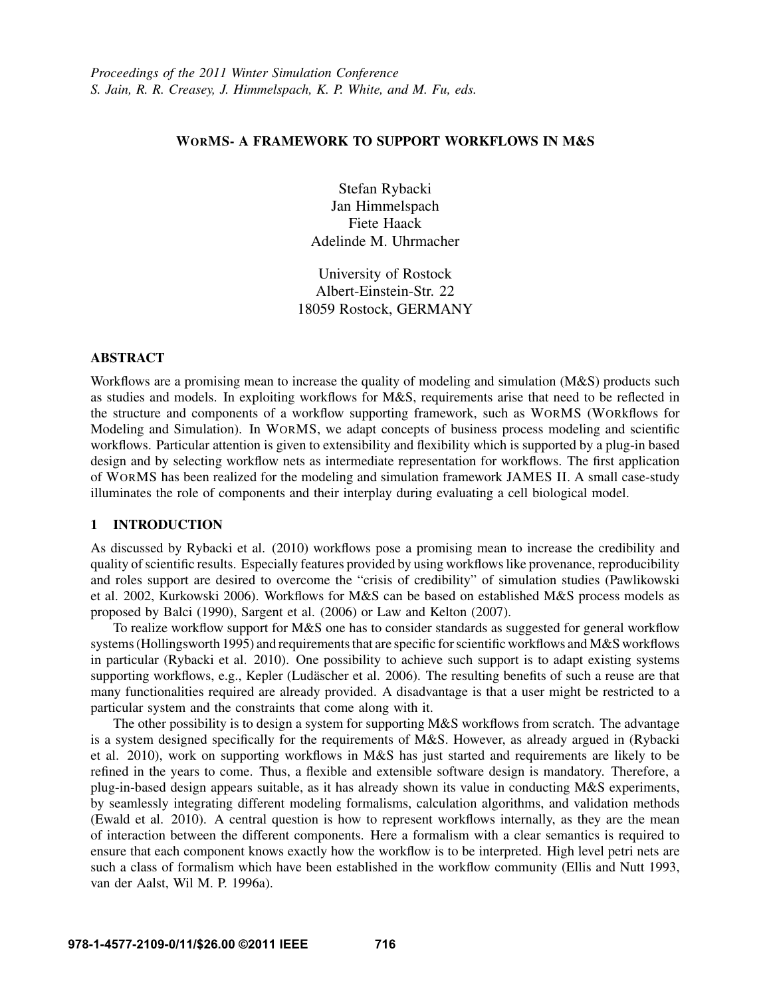# WORMS- A FRAMEWORK TO SUPPORT WORKFLOWS IN M&S

Stefan Rybacki Jan Himmelspach Fiete Haack Adelinde M. Uhrmacher

University of Rostock Albert-Einstein-Str. 22 18059 Rostock, GERMANY

#### ABSTRACT

Workflows are a promising mean to increase the quality of modeling and simulation (M&S) products such as studies and models. In exploiting workflows for M&S, requirements arise that need to be reflected in the structure and components of a workflow supporting framework, such as WORMS (WORkflows for Modeling and Simulation). In WORMS, we adapt concepts of business process modeling and scientific workflows. Particular attention is given to extensibility and flexibility which is supported by a plug-in based design and by selecting workflow nets as intermediate representation for workflows. The first application of WORMS has been realized for the modeling and simulation framework JAMES II. A small case-study illuminates the role of components and their interplay during evaluating a cell biological model.

# 1 INTRODUCTION

As discussed by Rybacki et al. (2010) workflows pose a promising mean to increase the credibility and quality of scientific results. Especially features provided by using workflows like provenance, reproducibility and roles support are desired to overcome the "crisis of credibility" of simulation studies (Pawlikowski et al. 2002, Kurkowski 2006). Workflows for M&S can be based on established M&S process models as proposed by Balci (1990), Sargent et al. (2006) or Law and Kelton (2007).

To realize workflow support for M&S one has to consider standards as suggested for general workflow systems (Hollingsworth 1995) and requirements that are specific for scientific workflows and M&S workflows in particular (Rybacki et al. 2010). One possibility to achieve such support is to adapt existing systems supporting workflows, e.g., Kepler (Ludäscher et al. 2006). The resulting benefits of such a reuse are that many functionalities required are already provided. A disadvantage is that a user might be restricted to a particular system and the constraints that come along with it.

The other possibility is to design a system for supporting  $M&S$  workflows from scratch. The advantage is a system designed specifically for the requirements of M&S. However, as already argued in (Rybacki et al. 2010), work on supporting workflows in M&S has just started and requirements are likely to be refined in the years to come. Thus, a flexible and extensible software design is mandatory. Therefore, a plug-in-based design appears suitable, as it has already shown its value in conducting M&S experiments, by seamlessly integrating different modeling formalisms, calculation algorithms, and validation methods (Ewald et al. 2010). A central question is how to represent workflows internally, as they are the mean of interaction between the different components. Here a formalism with a clear semantics is required to ensure that each component knows exactly how the workflow is to be interpreted. High level petri nets are such a class of formalism which have been established in the workflow community (Ellis and Nutt 1993, van der Aalst, Wil M. P. 1996a).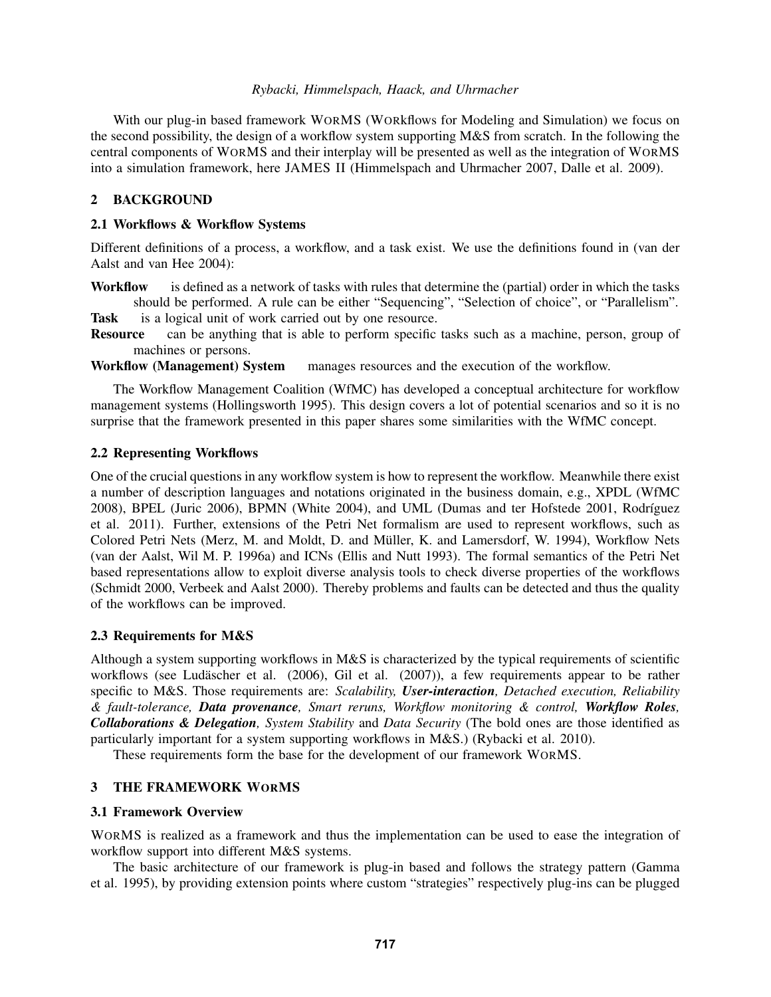With our plug-in based framework WORMS (WORkflows for Modeling and Simulation) we focus on the second possibility, the design of a workflow system supporting M&S from scratch. In the following the central components of WORMS and their interplay will be presented as well as the integration of WORMS into a simulation framework, here JAMES II (Himmelspach and Uhrmacher 2007, Dalle et al. 2009).

# 2 BACKGROUND

# 2.1 Workflows & Workflow Systems

Different definitions of a process, a workflow, and a task exist. We use the definitions found in (van der Aalst and van Hee 2004):

Workflow is defined as a network of tasks with rules that determine the (partial) order in which the tasks should be performed. A rule can be either "Sequencing", "Selection of choice", or "Parallelism".

Task is a logical unit of work carried out by one resource.

Resource can be anything that is able to perform specific tasks such as a machine, person, group of machines or persons.

Workflow (Management) System manages resources and the execution of the workflow.

The Workflow Management Coalition (WfMC) has developed a conceptual architecture for workflow management systems (Hollingsworth 1995). This design covers a lot of potential scenarios and so it is no surprise that the framework presented in this paper shares some similarities with the WfMC concept.

# 2.2 Representing Workflows

One of the crucial questions in any workflow system is how to represent the workflow. Meanwhile there exist a number of description languages and notations originated in the business domain, e.g., XPDL (WfMC 2008), BPEL (Juric 2006), BPMN (White 2004), and UML (Dumas and ter Hofstede 2001, Rodríguez et al. 2011). Further, extensions of the Petri Net formalism are used to represent workflows, such as Colored Petri Nets (Merz, M. and Moldt, D. and Müller, K. and Lamersdorf, W. 1994), Workflow Nets (van der Aalst, Wil M. P. 1996a) and ICNs (Ellis and Nutt 1993). The formal semantics of the Petri Net based representations allow to exploit diverse analysis tools to check diverse properties of the workflows (Schmidt 2000, Verbeek and Aalst 2000). Thereby problems and faults can be detected and thus the quality of the workflows can be improved.

# 2.3 Requirements for M&S

Although a system supporting workflows in M&S is characterized by the typical requirements of scientific workflows (see Ludäscher et al. (2006), Gil et al. (2007)), a few requirements appear to be rather specific to M&S. Those requirements are: *Scalability, User-interaction, Detached execution, Reliability & fault-tolerance, Data provenance, Smart reruns, Workflow monitoring & control, Workflow Roles, Collaborations & Delegation, System Stability* and *Data Security* (The bold ones are those identified as particularly important for a system supporting workflows in M&S.) (Rybacki et al. 2010).

These requirements form the base for the development of our framework WORMS.

# 3 THE FRAMEWORK WORMS

# 3.1 Framework Overview

WORMS is realized as a framework and thus the implementation can be used to ease the integration of workflow support into different M&S systems.

The basic architecture of our framework is plug-in based and follows the strategy pattern (Gamma et al. 1995), by providing extension points where custom "strategies" respectively plug-ins can be plugged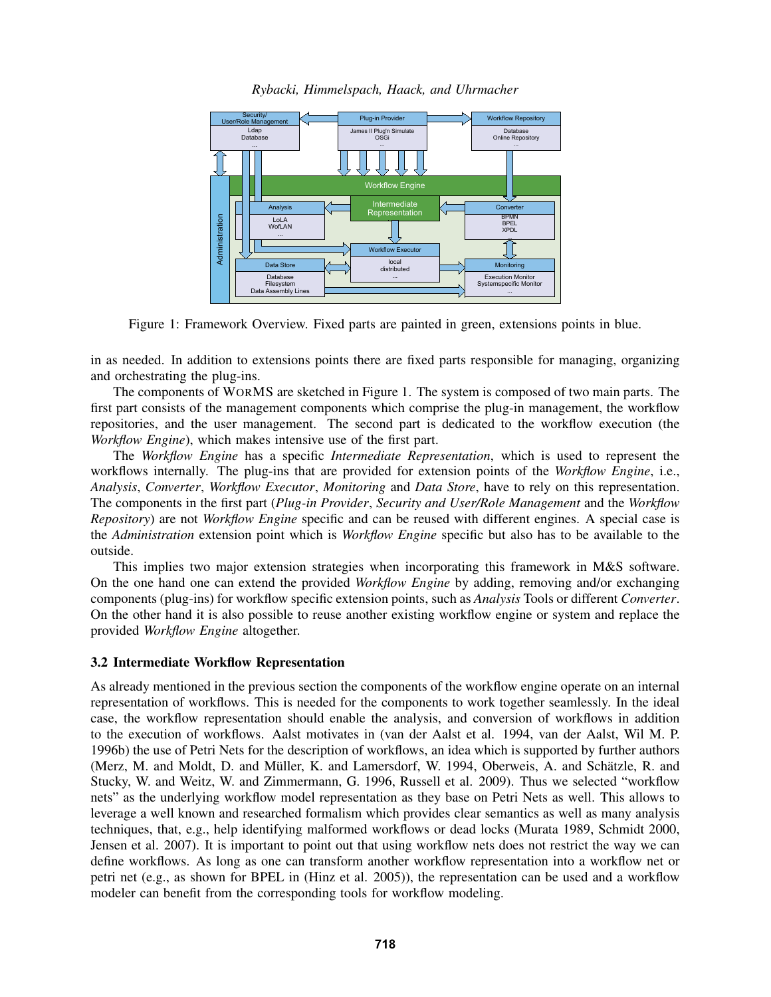

Rybacki, Himmelspach, Haack, and Uhrmacher

Figure 1: Framework Overview. Fixed parts are painted in green, extensions points in blue.

in as needed. In addition to extensions points there are fixed parts responsible for managing, organizing and orchestrating the plug-ins.

The components of WORMS are sketched in Figure 1. The system is composed of two main parts. The first part consists of the management components which comprise the plug-in management, the workflow repositories, and the user management. The second part is dedicated to the workflow execution (the Workflow Engine), which makes intensive use of the first part.

The Workflow Engine has a specific Intermediate Representation, which is used to represent the workflows internally. The plug-ins that are provided for extension points of the Workflow Engine, i.e., Analysis, Converter, Workflow Executor, Monitoring and Data Store, have to rely on this representation. The components in the first part (Plug-in Provider, Security and User/Role Management and the Workflow Repository) are not Workflow Engine specific and can be reused with different engines. A special case is the *Administration* extension point which is *Workflow Engine* specific but also has to be available to the outside.

This implies two major extension strategies when incorporating this framework in M&S software. On the one hand one can extend the provided *Workflow Engine* by adding, removing and/or exchanging components (plug-ins) for workflow specific extension points, such as *Analysis* Tools or different *Converter*. On the other hand it is also possible to reuse another existing workflow engine or system and replace the provided Workflow Engine altogether.

# 3.2 Intermediate Workflow Representation

As already mentioned in the previous section the components of the workflow engine operate on an internal representation of workflows. This is needed for the components to work together seamlessly. In the ideal case, the workflow representation should enable the analysis, and conversion of workflows in addition to the execution of workflows. Aalst motivates in (van der Aalst et al. 1994, van der Aalst, Wil M. P. 1996b) the use of Petri Nets for the description of workflows, an idea which is supported by further authors (Merz, M. and Moldt, D. and Müller, K. and Lamersdorf, W. 1994, Oberweis, A. and Schätzle, R. and Stucky, W. and Weitz, W. and Zimmermann, G. 1996, Russell et al. 2009). Thus we selected "workflow nets" as the underlying workflow model representation as they base on Petri Nets as well. This allows to leverage a well known and researched formalism which provides clear semantics as well as many analysis techniques, that, e.g., help identifying malformed workflows or dead locks (Murata 1989, Schmidt 2000, Jensen et al. 2007). It is important to point out that using workflow nets does not restrict the way we can define workflows. As long as one can transform another workflow representation into a workflow net or petri net (e.g., as shown for BPEL in (Hinz et al. 2005)), the representation can be used and a workflow modeler can benefit from the corresponding tools for workflow modeling.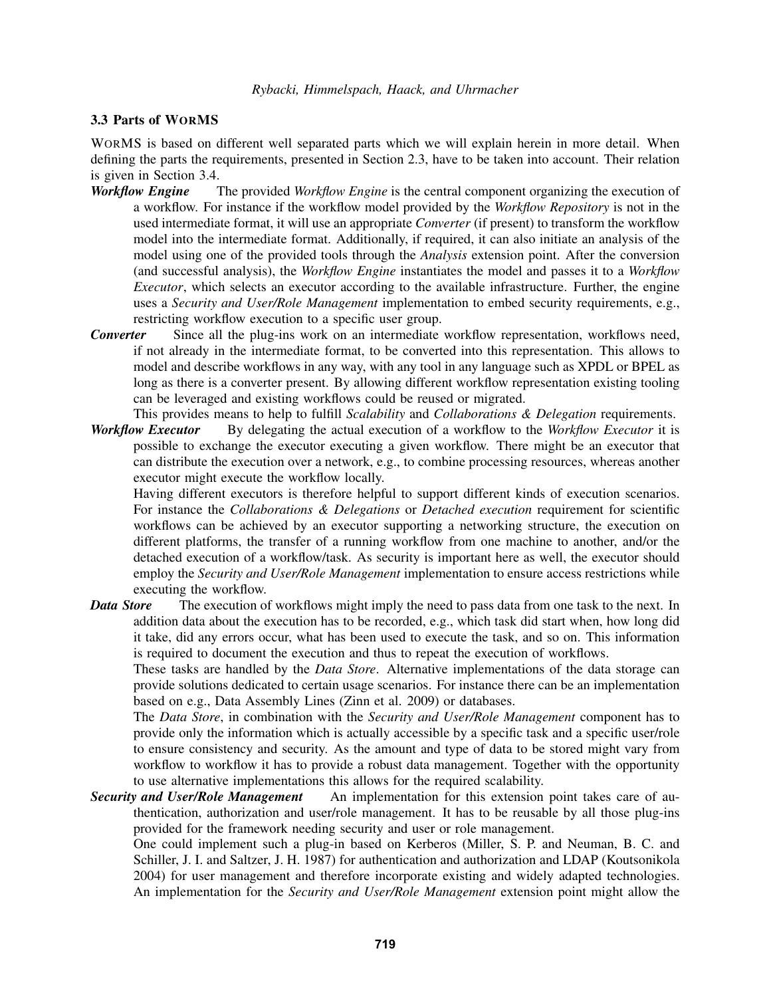# 3.3 Parts of WORMS

WORMS is based on different well separated parts which we will explain herein in more detail. When defining the parts the requirements, presented in Section 2.3, have to be taken into account. Their relation is given in Section 3.4.

- *Workflow Engine* The provided *Workflow Engine* is the central component organizing the execution of a workflow. For instance if the workflow model provided by the *Workflow Repository* is not in the used intermediate format, it will use an appropriate *Converter* (if present) to transform the workflow model into the intermediate format. Additionally, if required, it can also initiate an analysis of the model using one of the provided tools through the *Analysis* extension point. After the conversion (and successful analysis), the *Workflow Engine* instantiates the model and passes it to a *Workflow Executor*, which selects an executor according to the available infrastructure. Further, the engine uses a *Security and User/Role Management* implementation to embed security requirements, e.g., restricting workflow execution to a specific user group.
- **Converter** Since all the plug-ins work on an intermediate workflow representation, workflows need, if not already in the intermediate format, to be converted into this representation. This allows to model and describe workflows in any way, with any tool in any language such as XPDL or BPEL as long as there is a converter present. By allowing different workflow representation existing tooling can be leveraged and existing workflows could be reused or migrated.
- This provides means to help to fulfill *Scalability* and *Collaborations & Delegation* requirements. *Workflow Executor* By delegating the actual execution of a workflow to the *Workflow Executor* it is possible to exchange the executor executing a given workflow. There might be an executor that can distribute the execution over a network, e.g., to combine processing resources, whereas another executor might execute the workflow locally.

Having different executors is therefore helpful to support different kinds of execution scenarios. For instance the *Collaborations & Delegations* or *Detached execution* requirement for scientific workflows can be achieved by an executor supporting a networking structure, the execution on different platforms, the transfer of a running workflow from one machine to another, and/or the detached execution of a workflow/task. As security is important here as well, the executor should employ the *Security and User/Role Management* implementation to ensure access restrictions while executing the workflow.

*Data Store* The execution of workflows might imply the need to pass data from one task to the next. In addition data about the execution has to be recorded, e.g., which task did start when, how long did it take, did any errors occur, what has been used to execute the task, and so on. This information is required to document the execution and thus to repeat the execution of workflows.

These tasks are handled by the *Data Store*. Alternative implementations of the data storage can provide solutions dedicated to certain usage scenarios. For instance there can be an implementation based on e.g., Data Assembly Lines (Zinn et al. 2009) or databases.

The *Data Store*, in combination with the *Security and User/Role Management* component has to provide only the information which is actually accessible by a specific task and a specific user/role to ensure consistency and security. As the amount and type of data to be stored might vary from workflow to workflow it has to provide a robust data management. Together with the opportunity

to use alternative implementations this allows for the required scalability.<br>Security and User/Role Management An implementation for this extension An implementation for this extension point takes care of authentication, authorization and user/role management. It has to be reusable by all those plug-ins provided for the framework needing security and user or role management.

One could implement such a plug-in based on Kerberos (Miller, S. P. and Neuman, B. C. and Schiller, J. I. and Saltzer, J. H. 1987) for authentication and authorization and LDAP (Koutsonikola 2004) for user management and therefore incorporate existing and widely adapted technologies. An implementation for the *Security and User/Role Management* extension point might allow the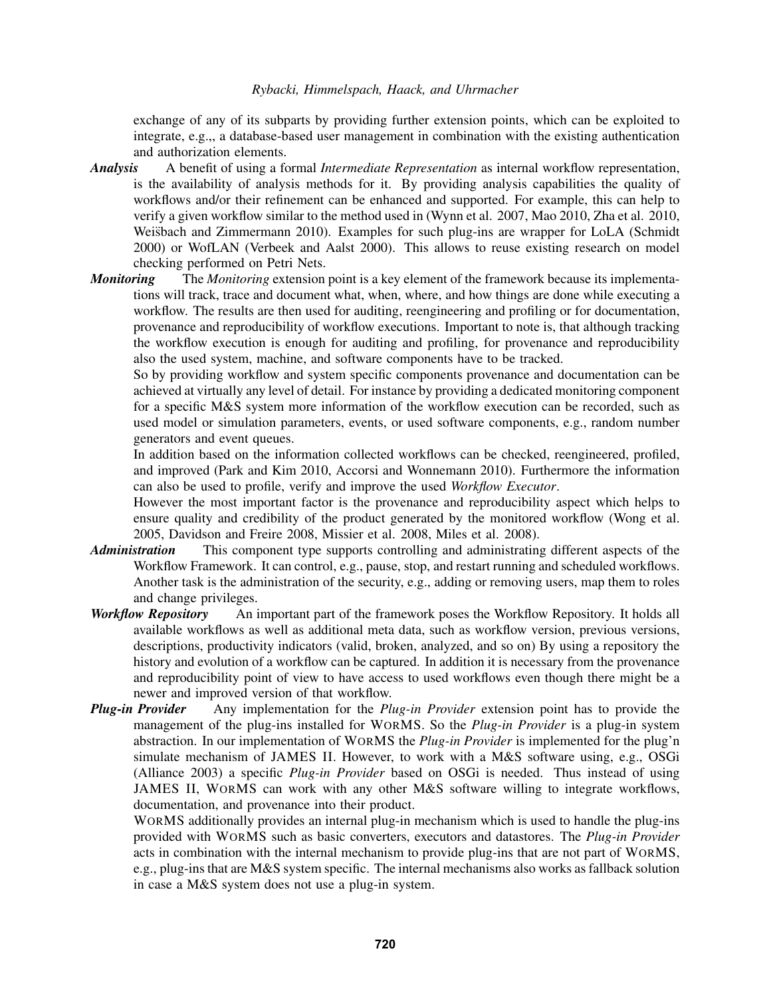exchange of any of its subparts by providing further extension points, which can be exploited to integrate, e.g.,, a database-based user management in combination with the existing authentication and authorization elements.

- *Analysis* A benefit of using a formal *Intermediate Representation* as internal workflow representation, is the availability of analysis methods for it. By providing analysis capabilities the quality of workflows and/or their refinement can be enhanced and supported. For example, this can help to verify a given workflow similar to the method used in (Wynn et al. 2007, Mao 2010, Zha et al. 2010, Weisbach and Zimmermann 2010). Examples for such plug-ins are wrapper for LoLA (Schmidt 2000) or WofLAN (Verbeek and Aalst 2000). This allows to reuse existing research on model checking performed on Petri Nets.
- *Monitoring* The *Monitoring* extension point is a key element of the framework because its implementations will track, trace and document what, when, where, and how things are done while executing a workflow. The results are then used for auditing, reengineering and profiling or for documentation, provenance and reproducibility of workflow executions. Important to note is, that although tracking the workflow execution is enough for auditing and profiling, for provenance and reproducibility also the used system, machine, and software components have to be tracked.

So by providing workflow and system specific components provenance and documentation can be achieved at virtually any level of detail. For instance by providing a dedicated monitoring component for a specific M&S system more information of the workflow execution can be recorded, such as used model or simulation parameters, events, or used software components, e.g., random number generators and event queues.

In addition based on the information collected workflows can be checked, reengineered, profiled, and improved (Park and Kim 2010, Accorsi and Wonnemann 2010). Furthermore the information can also be used to profile, verify and improve the used *Workflow Executor*.

However the most important factor is the provenance and reproducibility aspect which helps to ensure quality and credibility of the product generated by the monitored workflow (Wong et al. 2005, Davidson and Freire 2008, Missier et al. 2008, Miles et al. 2008).

- *Administration* This component type supports controlling and administrating different aspects of the Workflow Framework. It can control, e.g., pause, stop, and restart running and scheduled workflows. Another task is the administration of the security, e.g., adding or removing users, map them to roles and change privileges.
- *Workflow Repository* An important part of the framework poses the Workflow Repository. It holds all available workflows as well as additional meta data, such as workflow version, previous versions, descriptions, productivity indicators (valid, broken, analyzed, and so on) By using a repository the history and evolution of a workflow can be captured. In addition it is necessary from the provenance and reproducibility point of view to have access to used workflows even though there might be a newer and improved version of that workflow.
- *Plug-in Provider* Any implementation for the *Plug-in Provider* extension point has to provide the management of the plug-ins installed for WORMS. So the *Plug-in Provider* is a plug-in system abstraction. In our implementation of WORMS the *Plug-in Provider* is implemented for the plug'n simulate mechanism of JAMES II. However, to work with a M&S software using, e.g., OSGi (Alliance 2003) a specific *Plug-in Provider* based on OSGi is needed. Thus instead of using JAMES II, WORMS can work with any other M&S software willing to integrate workflows, documentation, and provenance into their product.

WORMS additionally provides an internal plug-in mechanism which is used to handle the plug-ins provided with WORMS such as basic converters, executors and datastores. The *Plug-in Provider* acts in combination with the internal mechanism to provide plug-ins that are not part of WORMS, e.g., plug-ins that are M&S system specific. The internal mechanisms also works as fallback solution in case a M&S system does not use a plug-in system.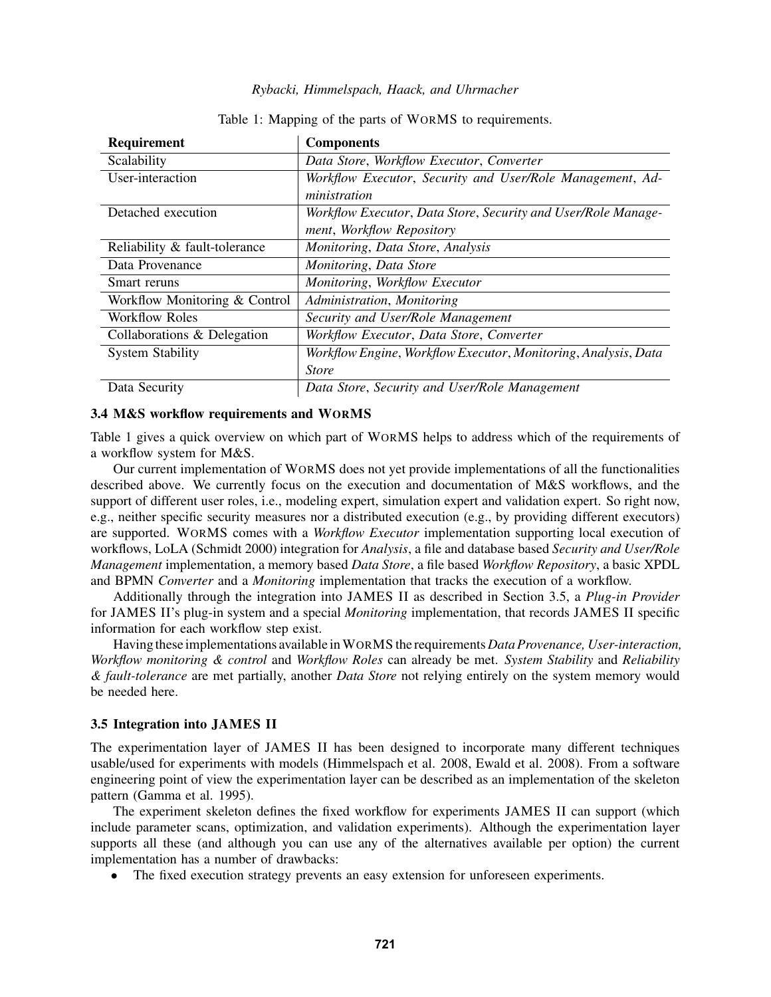| Requirement                   | <b>Components</b>                                                         |
|-------------------------------|---------------------------------------------------------------------------|
| Scalability                   | Data Store, Workflow Executor, Converter                                  |
| User-interaction              | Workflow Executor, Security and User/Role Management, Ad-<br>ministration |
|                               |                                                                           |
| Detached execution            | Workflow Executor, Data Store, Security and User/Role Manage-             |
|                               | ment, Workflow Repository                                                 |
| Reliability & fault-tolerance | Monitoring, Data Store, Analysis                                          |
| Data Provenance               | Monitoring, Data Store                                                    |
| Smart reruns                  | Monitoring, Workflow Executor                                             |
| Workflow Monitoring & Control | Administration, Monitoring                                                |
| <b>Workflow Roles</b>         | Security and User/Role Management                                         |
| Collaborations & Delegation   | Workflow Executor, Data Store, Converter                                  |
| <b>System Stability</b>       | Workflow Engine, Workflow Executor, Monitoring, Analysis, Data            |
|                               | <b>Store</b>                                                              |
| Data Security                 | Data Store, Security and User/Role Management                             |

#### Table 1: Mapping of the parts of WORMS to requirements.

#### 3.4 M&S workflow requirements and WORMS

Table 1 gives a quick overview on which part of WORMS helps to address which of the requirements of a workflow system for M&S.

Our current implementation of WORMS does not yet provide implementations of all the functionalities described above. We currently focus on the execution and documentation of M&S workflows, and the support of different user roles, i.e., modeling expert, simulation expert and validation expert. So right now, e.g., neither specific security measures nor a distributed execution (e.g., by providing different executors) are supported. WORMS comes with a *Workflow Executor* implementation supporting local execution of workflows, LoLA (Schmidt 2000) integration for *Analysis*, a file and database based *Security and User/Role Management* implementation, a memory based *Data Store*, a file based *Workflow Repository*, a basic XPDL and BPMN *Converter* and a *Monitoring* implementation that tracks the execution of a workflow.

Additionally through the integration into JAMES II as described in Section 3.5, a *Plug-in Provider* for JAMES II's plug-in system and a special *Monitoring* implementation, that records JAMES II specific information for each workflow step exist.

Having these implementations available in WORMS the requirements *Data Provenance*, *User-interaction*, *Workflow monitoring & control* and *Workflow Roles* can already be met. *System Stability* and *Reliability & fault-tolerance* are met partially, another *Data Store* not relying entirely on the system memory would be needed here.

## 3.5 Integration into JAMES II

The experimentation layer of JAMES II has been designed to incorporate many different techniques usable/used for experiments with models (Himmelspach et al. 2008, Ewald et al. 2008). From a software engineering point of view the experimentation layer can be described as an implementation of the skeleton pattern (Gamma et al. 1995).

The experiment skeleton defines the fixed workflow for experiments JAMES II can support (which include parameter scans, optimization, and validation experiments). Although the experimentation layer supports all these (and although you can use any of the alternatives available per option) the current implementation has a number of drawbacks:

The fixed execution strategy prevents an easy extension for unforeseen experiments.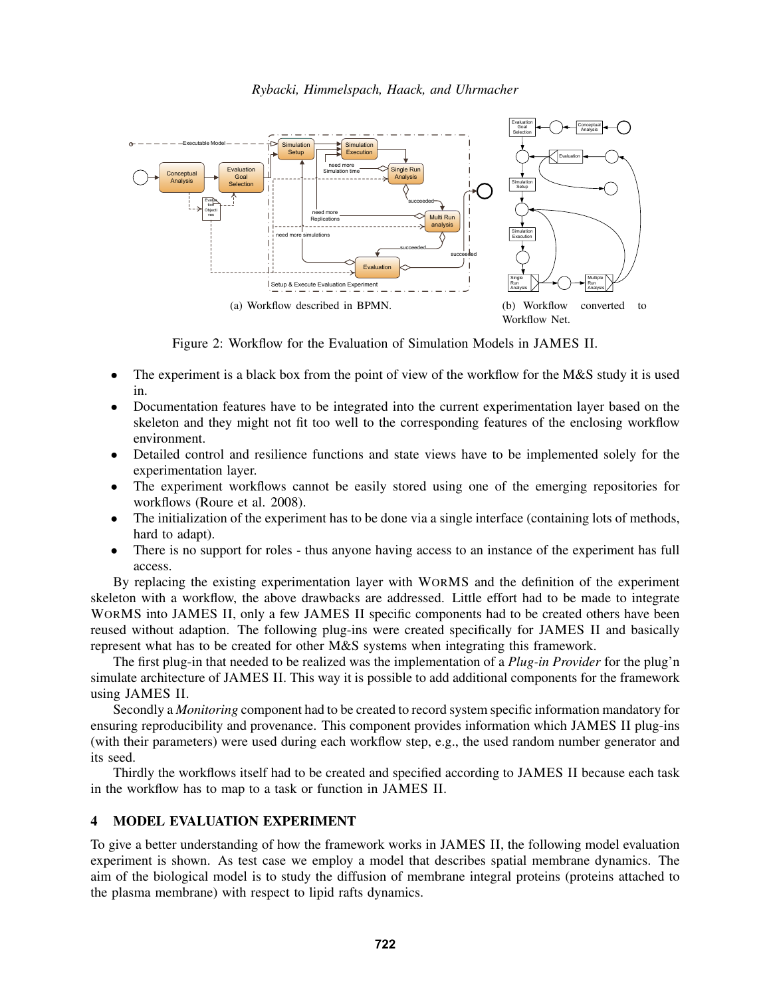



Figure 2: Workflow for the Evaluation of Simulation Models in JAMES II.

- The experiment is a black box from the point of view of the workflow for the M&S study it is used in.
- Documentation features have to be integrated into the current experimentation layer based on the skeleton and they might not fit too well to the corresponding features of the enclosing workflow environment.
- Detailed control and resilience functions and state views have to be implemented solely for the experimentation layer.
- The experiment workflows cannot be easily stored using one of the emerging repositories for workflows (Roure et al. 2008).
- The initialization of the experiment has to be done via a single interface (containing lots of methods, hard to adapt).
- There is no support for roles thus anyone having access to an instance of the experiment has full access.

By replacing the existing experimentation layer with WORMS and the definition of the experiment skeleton with a workflow, the above drawbacks are addressed. Little effort had to be made to integrate WORMS into JAMES II, only a few JAMES II specific components had to be created others have been reused without adaption. The following plug-ins were created specifically for JAMES II and basically represent what has to be created for other M&S systems when integrating this framework.

The first plug-in that needed to be realized was the implementation of a *Plug-in Provider* for the plug'n simulate architecture of JAMES II. This way it is possible to add additional components for the framework using JAMES II.

Secondly a *Monitoring* component had to be created to record system specific information mandatory for ensuring reproducibility and provenance. This component provides information which JAMES II plug-ins (with their parameters) were used during each workflow step, e.g., the used random number generator and its seed.

Thirdly the workflows itself had to be created and specified according to JAMES II because each task in the workflow has to map to a task or function in JAMES II.

# 4 MODEL EVALUATION EXPERIMENT

To give a better understanding of how the framework works in JAMES II, the following model evaluation experiment is shown. As test case we employ a model that describes spatial membrane dynamics. The aim of the biological model is to study the diffusion of membrane integral proteins (proteins attached to the plasma membrane) with respect to lipid rafts dynamics.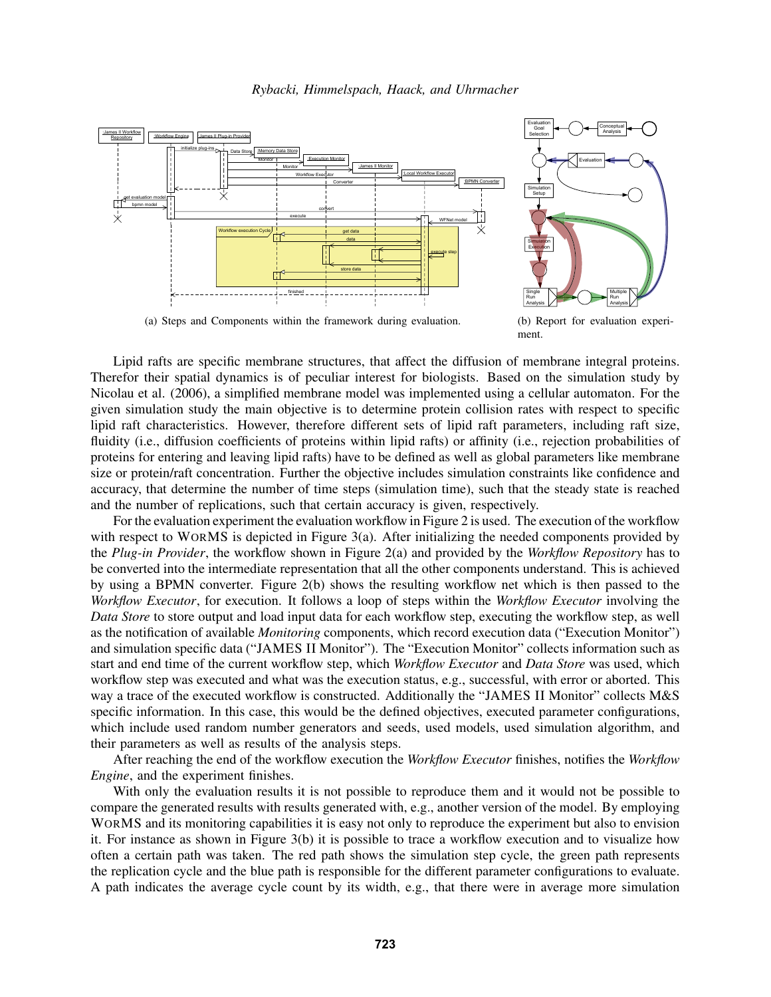

(a) Steps and Components within the framework during evaluation.

(b) Report for evaluation experiment.

Lipid rafts are specific membrane structures, that affect the diffusion of membrane integral proteins. Therefor their spatial dynamics is of peculiar interest for biologists. Based on the simulation study by Nicolau et al. (2006), a simplified membrane model was implemented using a cellular automaton. For the given simulation study the main objective is to determine protein collision rates with respect to specific lipid raft characteristics. However, therefore different sets of lipid raft parameters, including raft size, fluidity (i.e., diffusion coefficients of proteins within lipid rafts) or affinity (i.e., rejection probabilities of proteins for entering and leaving lipid rafts) have to be defined as well as global parameters like membrane size or protein/raft concentration. Further the objective includes simulation constraints like confidence and accuracy, that determine the number of time steps (simulation time), such that the steady state is reached and the number of replications, such that certain accuracy is given, respectively.

For the evaluation experiment the evaluation workflow in Figure 2 is used. The execution of the workflow with respect to WORMS is depicted in Figure 3(a). After initializing the needed components provided by the *Plug-in Provider*, the workflow shown in Figure 2(a) and provided by the *Workflow Repository* has to be converted into the intermediate representation that all the other components understand. This is achieved by using a BPMN converter. Figure 2(b) shows the resulting workflow net which is then passed to the *Workflow Executor*, for execution. It follows a loop of steps within the *Workflow Executor* involving the *Data Store* to store output and load input data for each workflow step, executing the workflow step, as well as the notification of available *Monitoring* components, which record execution data ("Execution Monitor") and simulation specific data ("JAMES II Monitor"). The "Execution Monitor" collects information such as start and end time of the current workflow step, which *Workflow Executor* and *Data Store* was used, which workflow step was executed and what was the execution status, e.g., successful, with error or aborted. This way a trace of the executed workflow is constructed. Additionally the "JAMES II Monitor" collects M&S specific information. In this case, this would be the defined objectives, executed parameter configurations, which include used random number generators and seeds, used models, used simulation algorithm, and their parameters as well as results of the analysis steps.

After reaching the end of the workflow execution the *Workflow Executor* finishes, notifies the *Workflow Engine*, and the experiment finishes.

With only the evaluation results it is not possible to reproduce them and it would not be possible to compare the generated results with results generated with, e.g., another version of the model. By employing WORMS and its monitoring capabilities it is easy not only to reproduce the experiment but also to envision it. For instance as shown in Figure 3(b) it is possible to trace a workflow execution and to visualize how often a certain path was taken. The red path shows the simulation step cycle, the green path represents the replication cycle and the blue path is responsible for the different parameter configurations to evaluate. A path indicates the average cycle count by its width, e.g., that there were in average more simulation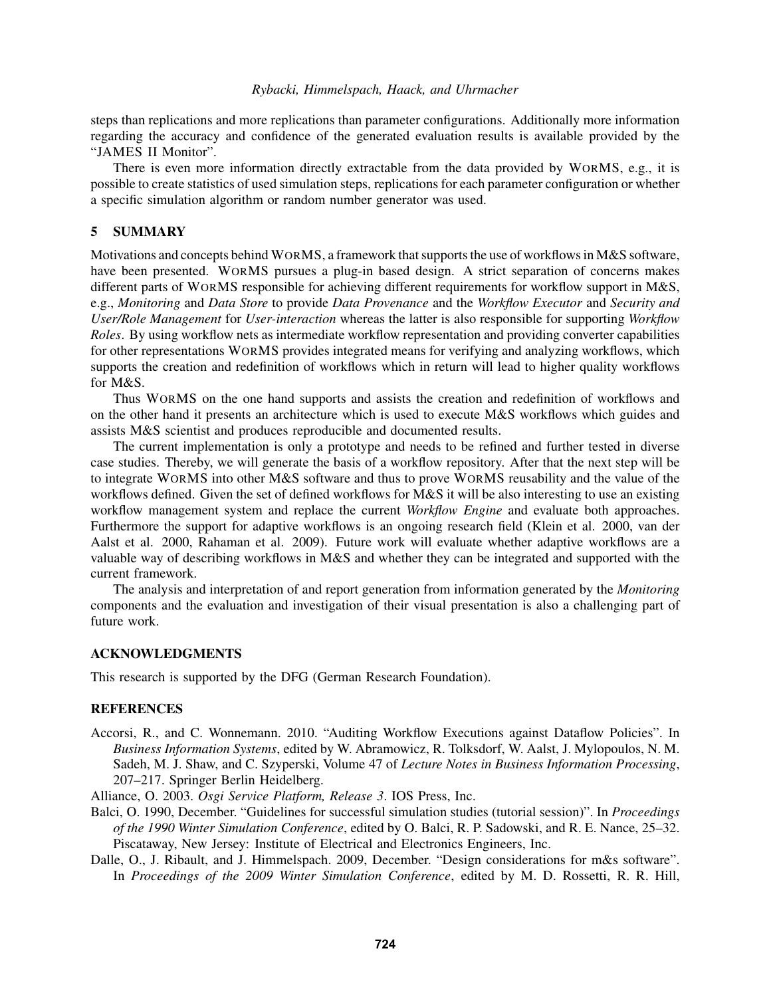steps than replications and more replications than parameter configurations. Additionally more information regarding the accuracy and confidence of the generated evaluation results is available provided by the "JAMES II Monitor".

There is even more information directly extractable from the data provided by WORMS, e.g., it is possible to create statistics of used simulation steps, replications for each parameter configuration or whether a specific simulation algorithm or random number generator was used.

# 5 SUMMARY

Motivations and concepts behind WORMS, a framework that supports the use of workflows in M&S software, have been presented. WORMS pursues a plug-in based design. A strict separation of concerns makes different parts of WORMS responsible for achieving different requirements for workflow support in M&S, e.g., *Monitoring* and *Data Store* to provide *Data Provenance* and the *Workflow Executor* and *Security and User/Role Management* for *User-interaction* whereas the latter is also responsible for supporting *Workflow Roles*. By using workflow nets as intermediate workflow representation and providing converter capabilities for other representations WORMS provides integrated means for verifying and analyzing workflows, which supports the creation and redefinition of workflows which in return will lead to higher quality workflows for M&S.

Thus WORMS on the one hand supports and assists the creation and redefinition of workflows and on the other hand it presents an architecture which is used to execute M&S workflows which guides and assists M&S scientist and produces reproducible and documented results.

The current implementation is only a prototype and needs to be refined and further tested in diverse case studies. Thereby, we will generate the basis of a workflow repository. After that the next step will be to integrate WORMS into other M&S software and thus to prove WORMS reusability and the value of the workflows defined. Given the set of defined workflows for M&S it will be also interesting to use an existing workflow management system and replace the current *Workflow Engine* and evaluate both approaches. Furthermore the support for adaptive workflows is an ongoing research field (Klein et al. 2000, van der Aalst et al. 2000, Rahaman et al. 2009). Future work will evaluate whether adaptive workflows are a valuable way of describing workflows in M&S and whether they can be integrated and supported with the current framework.

The analysis and interpretation of and report generation from information generated by the *Monitoring* components and the evaluation and investigation of their visual presentation is also a challenging part of future work.

#### ACKNOWLEDGMENTS

This research is supported by the DFG (German Research Foundation).

## **REFERENCES**

- Accorsi, R., and C. Wonnemann. 2010. "Auditing Workflow Executions against Dataflow Policies". In *Business Information Systems*, edited by W. Abramowicz, R. Tolksdorf, W. Aalst, J. Mylopoulos, N. M. Sadeh, M. J. Shaw, and C. Szyperski, Volume 47 of *Lecture Notes in Business Information Processing*, 207–217. Springer Berlin Heidelberg.
- Alliance, O. 2003. *Osgi Service Platform, Release 3*. IOS Press, Inc.
- Balci, O. 1990, December. "Guidelines for successful simulation studies (tutorial session)". In *Proceedings of the 1990 Winter Simulation Conference*, edited by O. Balci, R. P. Sadowski, and R. E. Nance, 25–32. Piscataway, New Jersey: Institute of Electrical and Electronics Engineers, Inc.
- Dalle, O., J. Ribault, and J. Himmelspach. 2009, December. "Design considerations for m&s software". In *Proceedings of the 2009 Winter Simulation Conference*, edited by M. D. Rossetti, R. R. Hill,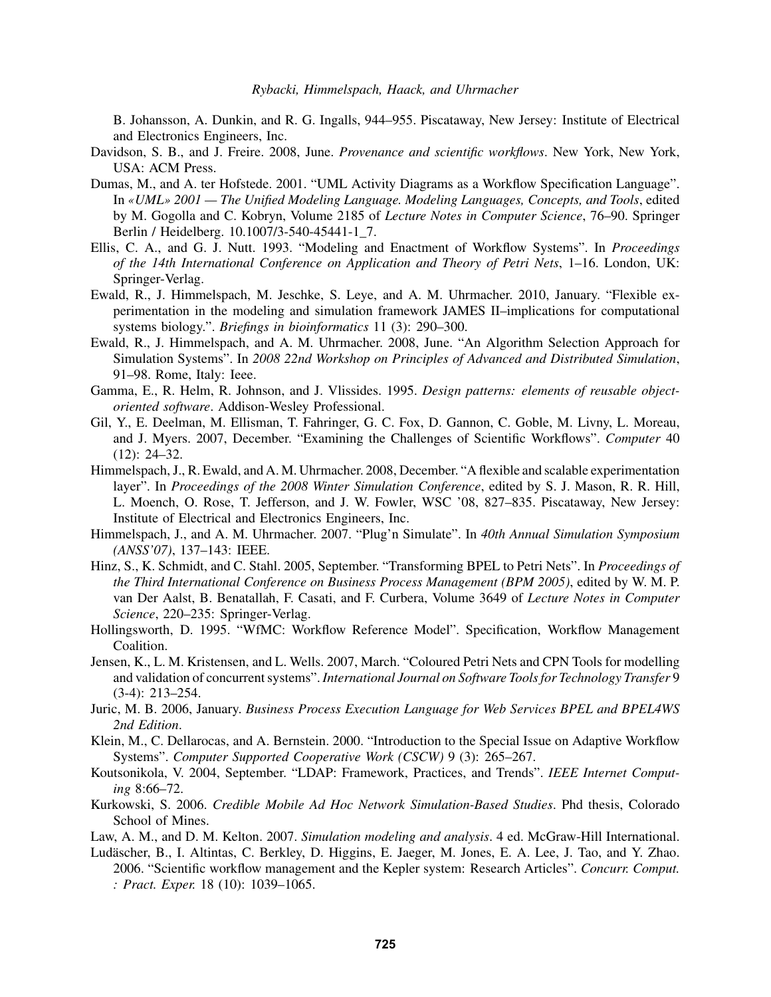B. Johansson, A. Dunkin, and R. G. Ingalls, 944–955. Piscataway, New Jersey: Institute of Electrical and Electronics Engineers, Inc.

- Davidson, S. B., and J. Freire. 2008, June. *Provenance and scientific workflows*. New York, New York, USA: ACM Press.
- Dumas, M., and A. ter Hofstede. 2001. "UML Activity Diagrams as a Workflow Specification Language". In *«UML» 2001 — The Unified Modeling Language. Modeling Languages, Concepts, and Tools*, edited by M. Gogolla and C. Kobryn, Volume 2185 of *Lecture Notes in Computer Science*, 76–90. Springer Berlin / Heidelberg. 10.1007/3-540-45441-1\_7.
- Ellis, C. A., and G. J. Nutt. 1993. "Modeling and Enactment of Workflow Systems". In *Proceedings of the 14th International Conference on Application and Theory of Petri Nets*, 1–16. London, UK: Springer-Verlag.
- Ewald, R., J. Himmelspach, M. Jeschke, S. Leye, and A. M. Uhrmacher. 2010, January. "Flexible experimentation in the modeling and simulation framework JAMES II–implications for computational systems biology.". *Briefings in bioinformatics* 11 (3): 290–300.
- Ewald, R., J. Himmelspach, and A. M. Uhrmacher. 2008, June. "An Algorithm Selection Approach for Simulation Systems". In *2008 22nd Workshop on Principles of Advanced and Distributed Simulation*, 91–98. Rome, Italy: Ieee.
- Gamma, E., R. Helm, R. Johnson, and J. Vlissides. 1995. *Design patterns: elements of reusable objectoriented software*. Addison-Wesley Professional.
- Gil, Y., E. Deelman, M. Ellisman, T. Fahringer, G. C. Fox, D. Gannon, C. Goble, M. Livny, L. Moreau, and J. Myers. 2007, December. "Examining the Challenges of Scientific Workflows". *Computer* 40 (12): 24–32.
- Himmelspach, J., R. Ewald, and A. M. Uhrmacher. 2008, December. "A flexible and scalable experimentation layer". In *Proceedings of the 2008 Winter Simulation Conference*, edited by S. J. Mason, R. R. Hill, L. Moench, O. Rose, T. Jefferson, and J. W. Fowler, WSC '08, 827–835. Piscataway, New Jersey: Institute of Electrical and Electronics Engineers, Inc.
- Himmelspach, J., and A. M. Uhrmacher. 2007. "Plug'n Simulate". In *40th Annual Simulation Symposium (ANSS'07)*, 137–143: IEEE.
- Hinz, S., K. Schmidt, and C. Stahl. 2005, September. "Transforming BPEL to Petri Nets". In *Proceedings of the Third International Conference on Business Process Management (BPM 2005)*, edited by W. M. P. van Der Aalst, B. Benatallah, F. Casati, and F. Curbera, Volume 3649 of *Lecture Notes in Computer Science*, 220–235: Springer-Verlag.
- Hollingsworth, D. 1995. "WfMC: Workflow Reference Model". Specification, Workflow Management Coalition.
- Jensen, K., L. M. Kristensen, and L. Wells. 2007, March. "Coloured Petri Nets and CPN Tools for modelling and validation of concurrent systems". *International Journal on Software Tools for Technology Transfer* 9 (3-4): 213–254.
- Juric, M. B. 2006, January. *Business Process Execution Language for Web Services BPEL and BPEL4WS 2nd Edition*.
- Klein, M., C. Dellarocas, and A. Bernstein. 2000. "Introduction to the Special Issue on Adaptive Workflow Systems". *Computer Supported Cooperative Work (CSCW)* 9 (3): 265–267.
- Koutsonikola, V. 2004, September. "LDAP: Framework, Practices, and Trends". *IEEE Internet Computing* 8:66–72.
- Kurkowski, S. 2006. *Credible Mobile Ad Hoc Network Simulation-Based Studies*. Phd thesis, Colorado School of Mines.
- Law, A. M., and D. M. Kelton. 2007. *Simulation modeling and analysis*. 4 ed. McGraw-Hill International.
- Ludäscher, B., I. Altintas, C. Berkley, D. Higgins, E. Jaeger, M. Jones, E. A. Lee, J. Tao, and Y. Zhao. 2006. "Scientific workflow management and the Kepler system: Research Articles". *Concurr. Comput. : Pract. Exper.* 18 (10): 1039–1065.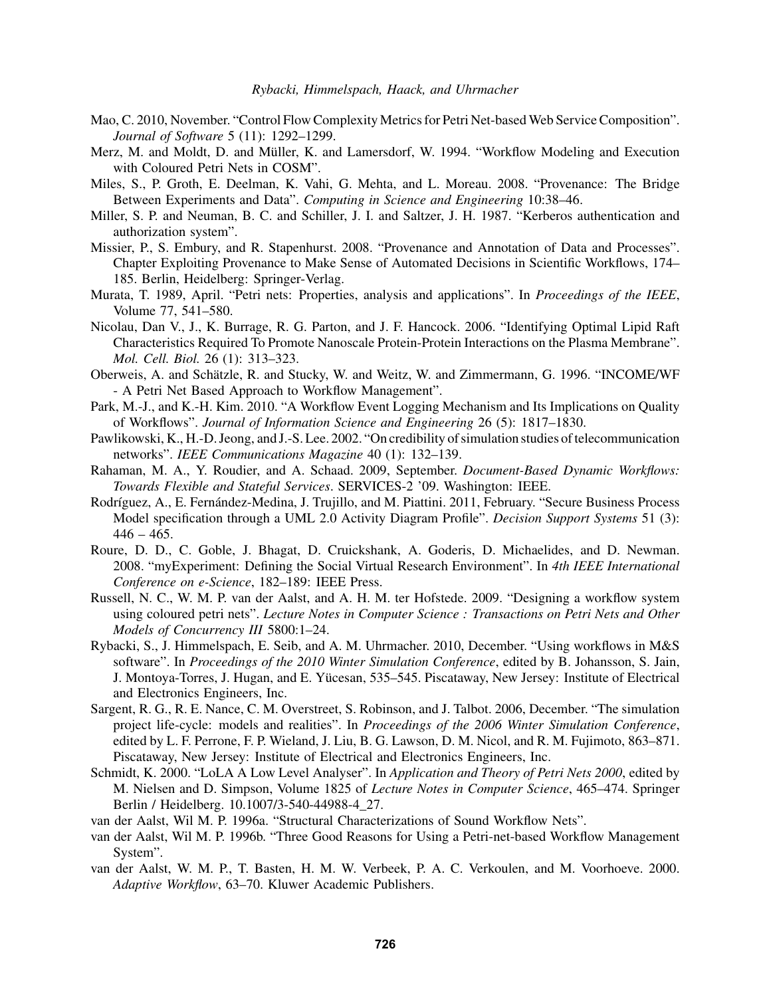- Mao, C. 2010, November. "Control Flow Complexity Metrics for Petri Net-based Web Service Composition". *Journal of Software* 5 (11): 1292–1299.
- Merz, M. and Moldt, D. and Müller, K. and Lamersdorf, W. 1994. "Workflow Modeling and Execution with Coloured Petri Nets in COSM".
- Miles, S., P. Groth, E. Deelman, K. Vahi, G. Mehta, and L. Moreau. 2008. "Provenance: The Bridge Between Experiments and Data". *Computing in Science and Engineering* 10:38–46.
- Miller, S. P. and Neuman, B. C. and Schiller, J. I. and Saltzer, J. H. 1987. "Kerberos authentication and authorization system".
- Missier, P., S. Embury, and R. Stapenhurst. 2008. "Provenance and Annotation of Data and Processes". Chapter Exploiting Provenance to Make Sense of Automated Decisions in Scientific Workflows, 174– 185. Berlin, Heidelberg: Springer-Verlag.
- Murata, T. 1989, April. "Petri nets: Properties, analysis and applications". In *Proceedings of the IEEE*, Volume 77, 541–580.
- Nicolau, Dan V., J., K. Burrage, R. G. Parton, and J. F. Hancock. 2006. "Identifying Optimal Lipid Raft Characteristics Required To Promote Nanoscale Protein-Protein Interactions on the Plasma Membrane". *Mol. Cell. Biol.* 26 (1): 313–323.
- Oberweis, A. and Schätzle, R. and Stucky, W. and Weitz, W. and Zimmermann, G. 1996. "INCOME/WF - A Petri Net Based Approach to Workflow Management".
- Park, M.-J., and K.-H. Kim. 2010. "A Workflow Event Logging Mechanism and Its Implications on Quality of Workflows". *Journal of Information Science and Engineering* 26 (5): 1817–1830.
- Pawlikowski, K., H.-D. Jeong, and J.-S. Lee. 2002. "On credibility of simulation studies of telecommunication networks". *IEEE Communications Magazine* 40 (1): 132–139.
- Rahaman, M. A., Y. Roudier, and A. Schaad. 2009, September. *Document-Based Dynamic Workflows: Towards Flexible and Stateful Services*. SERVICES-2 '09. Washington: IEEE.
- Rodríguez, A., E. Fernández-Medina, J. Trujillo, and M. Piattini. 2011, February. "Secure Business Process Model specification through a UML 2.0 Activity Diagram Profile". *Decision Support Systems* 51 (3):  $446 - 465.$
- Roure, D. D., C. Goble, J. Bhagat, D. Cruickshank, A. Goderis, D. Michaelides, and D. Newman. 2008. "myExperiment: Defining the Social Virtual Research Environment". In *4th IEEE International Conference on e-Science*, 182–189: IEEE Press.
- Russell, N. C., W. M. P. van der Aalst, and A. H. M. ter Hofstede. 2009. "Designing a workflow system using coloured petri nets". *Lecture Notes in Computer Science : Transactions on Petri Nets and Other Models of Concurrency III* 5800:1–24.
- Rybacki, S., J. Himmelspach, E. Seib, and A. M. Uhrmacher. 2010, December. "Using workflows in M&S software". In *Proceedings of the 2010 Winter Simulation Conference*, edited by B. Johansson, S. Jain, J. Montoya-Torres, J. Hugan, and E. Yücesan, 535–545. Piscataway, New Jersey: Institute of Electrical and Electronics Engineers, Inc.
- Sargent, R. G., R. E. Nance, C. M. Overstreet, S. Robinson, and J. Talbot. 2006, December. "The simulation project life-cycle: models and realities". In *Proceedings of the 2006 Winter Simulation Conference*, edited by L. F. Perrone, F. P. Wieland, J. Liu, B. G. Lawson, D. M. Nicol, and R. M. Fujimoto, 863–871. Piscataway, New Jersey: Institute of Electrical and Electronics Engineers, Inc.
- Schmidt, K. 2000. "LoLA A Low Level Analyser". In *Application and Theory of Petri Nets 2000*, edited by M. Nielsen and D. Simpson, Volume 1825 of *Lecture Notes in Computer Science*, 465–474. Springer Berlin / Heidelberg. 10.1007/3-540-44988-4\_27.
- van der Aalst, Wil M. P. 1996a. "Structural Characterizations of Sound Workflow Nets".
- van der Aalst, Wil M. P. 1996b. "Three Good Reasons for Using a Petri-net-based Workflow Management System".
- van der Aalst, W. M. P., T. Basten, H. M. W. Verbeek, P. A. C. Verkoulen, and M. Voorhoeve. 2000. *Adaptive Workflow*, 63–70. Kluwer Academic Publishers.